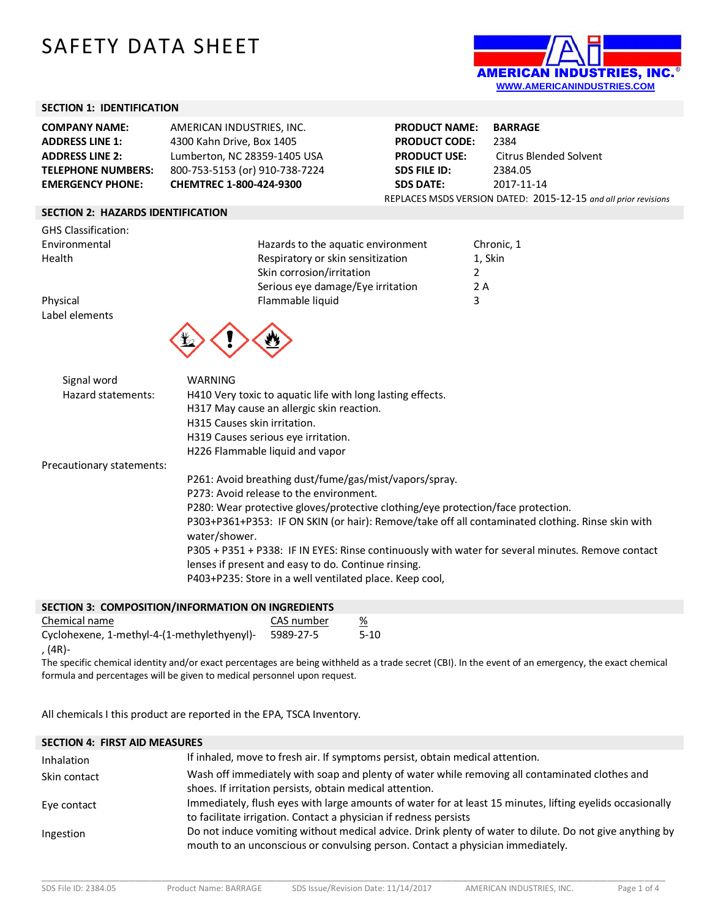# SAFETY DATA SHEET



#### **SECTION 1: IDENTIFICATION**

| <b>COMPANY NAME:</b>      | AMERICAN INDUSTRIES, INC.      |
|---------------------------|--------------------------------|
| <b>ADDRESS LINE 1:</b>    | 4300 Kahn Drive, Box 1405      |
| <b>ADDRESS LINE 2:</b>    | Lumberton, NC 28359-1405 USA   |
| <b>TELEPHONE NUMBERS:</b> | 800-753-5153 (or) 910-738-7224 |
| <b>EMERGENCY PHONE:</b>   | CHEMTREC 1-800-424-9300        |

**PRODUCT NAME: BARRAGE PRODUCT CODE:** 2384 **PRODUCT USE:** Citrus Blended Solvent **SDS FILE ID:** 2384.05 **SDS DATE:** 2017-11-14 REPLACES MSDS VERSION DATED: 2015-12-15 *and all prior revisions*

# **SECTION 2: HAZARDS IDENTIFICATION**

| <b>GHS Classification:</b> |                                    |            |
|----------------------------|------------------------------------|------------|
| Environmental              | Hazards to the aquatic environment | Chronic, 1 |
| Health                     | Respiratory or skin sensitization  | 1, Skin    |
|                            | Skin corrosion/irritation          |            |
|                            | Serious eye damage/Eye irritation  | 2 A        |
| Physical                   | Flammable liquid                   | 3          |
| Label elements             |                                    |            |



| Signal word<br>Hazard statements: | WARNING<br>H410 Very toxic to aquatic life with long lasting effects.<br>H317 May cause an allergic skin reaction.<br>H315 Causes skin irritation.       |
|-----------------------------------|----------------------------------------------------------------------------------------------------------------------------------------------------------|
|                                   | H319 Causes serious eye irritation.                                                                                                                      |
|                                   | H226 Flammable liquid and vapor                                                                                                                          |
| Precautionary statements:         |                                                                                                                                                          |
|                                   | P261: Avoid breathing dust/fume/gas/mist/vapors/spray.                                                                                                   |
|                                   | P273: Avoid release to the environment.                                                                                                                  |
|                                   | P280: Wear protective gloves/protective clothing/eye protection/face protection.                                                                         |
|                                   | P303+P361+P353: IF ON SKIN (or hair): Remove/take off all contaminated clothing. Rinse skin with<br>water/shower.                                        |
|                                   | P305 + P351 + P338: IF IN EYES: Rinse continuously with water for several minutes. Remove contact<br>lenses if present and easy to do. Continue rinsing. |
|                                   | P403+P235: Store in a well ventilated place. Keep cool,                                                                                                  |

| SECTION 3: COMPOSITION/INFORMATION ON INGREDIENTS |            |   |
|---------------------------------------------------|------------|---|
| Chemical name                                     | CAS number | ℅ |

| CHEINICAL HANG                              | CAS HUIHDEI |        |
|---------------------------------------------|-------------|--------|
| Cyclohexene, 1-methyl-4-(1-methylethyenyl)- | 5989-27-5   | $5-10$ |
| , (4R)-                                     |             |        |

The specific chemical identity and/or exact percentages are being withheld as a trade secret (CBI). In the event of an emergency, the exact chemical formula and percentages will be given to medical personnel upon request.

All chemicals I this product are reported in the EPA, TSCA Inventory.

# **SECTION 4: FIRST AID MEASURES**

| Inhalation   | If inhaled, move to fresh air. If symptoms persist, obtain medical attention.                                                                                                             |
|--------------|-------------------------------------------------------------------------------------------------------------------------------------------------------------------------------------------|
| Skin contact | Wash off immediately with soap and plenty of water while removing all contaminated clothes and<br>shoes. If irritation persists, obtain medical attention.                                |
| Eye contact  | Immediately, flush eyes with large amounts of water for at least 15 minutes, lifting eyelids occasionally<br>to facilitate irrigation. Contact a physician if redness persists            |
| Ingestion    | Do not induce vomiting without medical advice. Drink plenty of water to dilute. Do not give anything by<br>mouth to an unconscious or convulsing person. Contact a physician immediately. |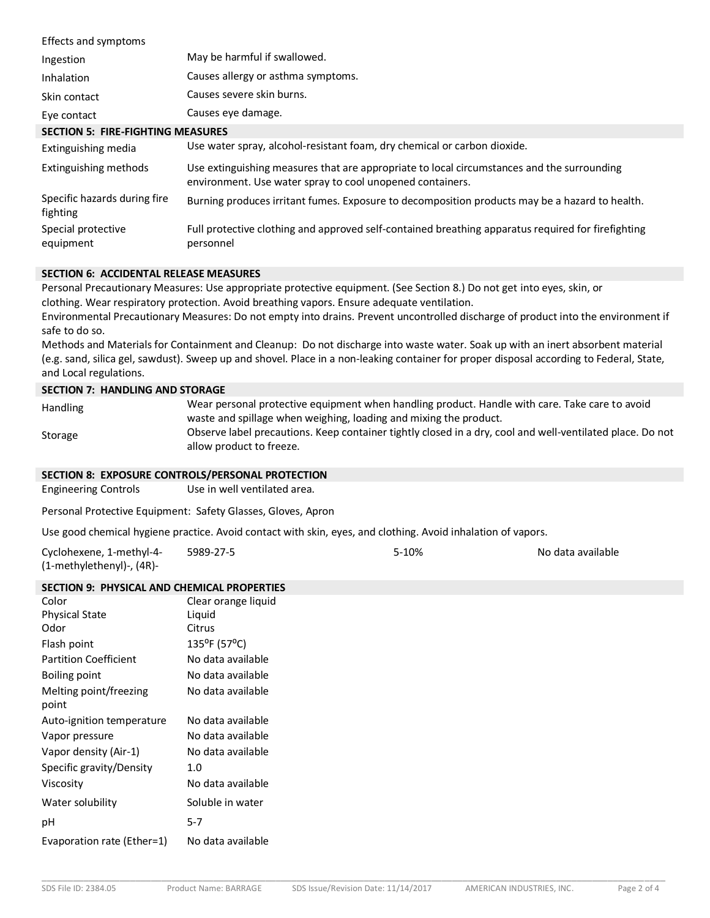| Effects and symptoms                     |                                                                                                                                                         |
|------------------------------------------|---------------------------------------------------------------------------------------------------------------------------------------------------------|
| Ingestion                                | May be harmful if swallowed.                                                                                                                            |
| Inhalation                               | Causes allergy or asthma symptoms.                                                                                                                      |
| Skin contact                             | Causes severe skin burns.                                                                                                                               |
| Eye contact                              | Causes eye damage.                                                                                                                                      |
| <b>SECTION 5: FIRE-FIGHTING MEASURES</b> |                                                                                                                                                         |
| Extinguishing media                      | Use water spray, alcohol-resistant foam, dry chemical or carbon dioxide.                                                                                |
| Extinguishing methods                    | Use extinguishing measures that are appropriate to local circumstances and the surrounding<br>environment. Use water spray to cool unopened containers. |
| Specific hazards during fire<br>fighting | Burning produces irritant fumes. Exposure to decomposition products may be a hazard to health.                                                          |
| Special protective<br>equipment          | Full protective clothing and approved self-contained breathing apparatus required for firefighting<br>personnel                                         |

#### **SECTION 6: ACCIDENTAL RELEASE MEASURES**

Personal Precautionary Measures: Use appropriate protective equipment. (See Section 8.) Do not get into eyes, skin, or clothing. Wear respiratory protection. Avoid breathing vapors. Ensure adequate ventilation.

Environmental Precautionary Measures: Do not empty into drains. Prevent uncontrolled discharge of product into the environment if safe to do so.

Methods and Materials for Containment and Cleanup: Do not discharge into waste water. Soak up with an inert absorbent material (e.g. sand, silica gel, sawdust). Sweep up and shovel. Place in a non-leaking container for proper disposal according to Federal, State, and Local regulations.

#### **SECTION 7: HANDLING AND STORAGE**

| <b>Handling</b> | Wear personal protective equipment when handling product. Handle with care. Take care to avoid            |
|-----------------|-----------------------------------------------------------------------------------------------------------|
|                 | waste and spillage when weighing, loading and mixing the product.                                         |
| Storage         | Observe label precautions. Keep container tightly closed in a dry, cool and well-ventilated place. Do not |
|                 | allow product to freeze.                                                                                  |

### **SECTION 8: EXPOSURE CONTROLS/PERSONAL PROTECTION**

Engineering Controls Use in well ventilated area.

Personal Protective Equipment: Safety Glasses, Gloves, Apron

Use good chemical hygiene practice. Avoid contact with skin, eyes, and clothing. Avoid inhalation of vapors.

| Cyclohexene, 1-methyl-4-  | 5989-27-5 | 5-10% | No data available |
|---------------------------|-----------|-------|-------------------|
| (1-methylethenyl)-, (4R)- |           |       |                   |

#### **SECTION 9: PHYSICAL AND CHEMICAL PROPERTIES**

| Color                        | Clear orange liquid |
|------------------------------|---------------------|
| <b>Physical State</b>        | Liquid              |
| Odor                         | Citrus              |
| Flash point                  | 135°F (57°C)        |
| <b>Partition Coefficient</b> | No data available   |
| <b>Boiling point</b>         | No data available   |
| Melting point/freezing       | No data available   |
| point                        |                     |
| Auto-ignition temperature    | No data available   |
| Vapor pressure               | No data available   |
| Vapor density (Air-1)        | No data available   |
| Specific gravity/Density     | 1.0                 |
| Viscosity                    | No data available   |
| Water solubility             | Soluble in water    |
| рH                           | $5 - 7$             |
| Evaporation rate (Ether=1)   | No data available   |
|                              |                     |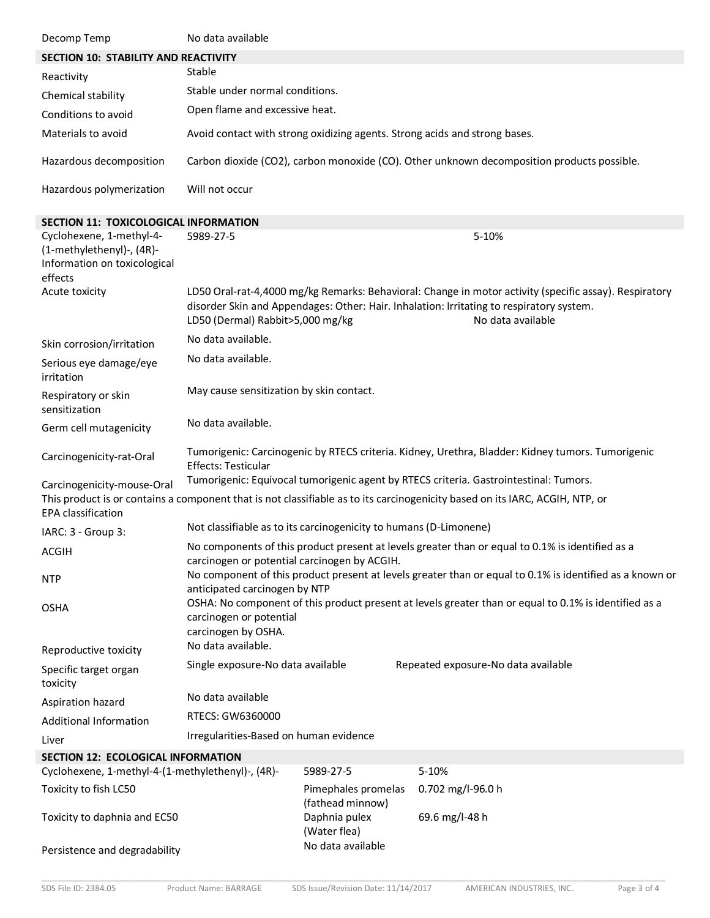| Decomp Temp                                                                                                                                                                      | No data available                                                                                                                                                             |                                         |                   |                                                                                                                                                                                                                         |
|----------------------------------------------------------------------------------------------------------------------------------------------------------------------------------|-------------------------------------------------------------------------------------------------------------------------------------------------------------------------------|-----------------------------------------|-------------------|-------------------------------------------------------------------------------------------------------------------------------------------------------------------------------------------------------------------------|
| SECTION 10: STABILITY AND REACTIVITY                                                                                                                                             |                                                                                                                                                                               |                                         |                   |                                                                                                                                                                                                                         |
| Reactivity                                                                                                                                                                       | Stable                                                                                                                                                                        |                                         |                   |                                                                                                                                                                                                                         |
| Chemical stability                                                                                                                                                               | Stable under normal conditions.                                                                                                                                               |                                         |                   |                                                                                                                                                                                                                         |
| Conditions to avoid                                                                                                                                                              | Open flame and excessive heat.                                                                                                                                                |                                         |                   |                                                                                                                                                                                                                         |
| Materials to avoid                                                                                                                                                               | Avoid contact with strong oxidizing agents. Strong acids and strong bases.                                                                                                    |                                         |                   |                                                                                                                                                                                                                         |
| Hazardous decomposition                                                                                                                                                          |                                                                                                                                                                               |                                         |                   | Carbon dioxide (CO2), carbon monoxide (CO). Other unknown decomposition products possible.                                                                                                                              |
| Hazardous polymerization                                                                                                                                                         | Will not occur                                                                                                                                                                |                                         |                   |                                                                                                                                                                                                                         |
| <b>SECTION 11: TOXICOLOGICAL INFORMATION</b>                                                                                                                                     |                                                                                                                                                                               |                                         |                   |                                                                                                                                                                                                                         |
| Cyclohexene, 1-methyl-4-<br>(1-methylethenyl)-, (4R)-<br>Information on toxicological<br>effects                                                                                 | 5989-27-5                                                                                                                                                                     |                                         |                   | 5-10%                                                                                                                                                                                                                   |
| Acute toxicity                                                                                                                                                                   | LD50 (Dermal) Rabbit>5,000 mg/kg                                                                                                                                              |                                         |                   | LD50 Oral-rat-4,4000 mg/kg Remarks: Behavioral: Change in motor activity (specific assay). Respiratory<br>disorder Skin and Appendages: Other: Hair. Inhalation: Irritating to respiratory system.<br>No data available |
| Skin corrosion/irritation                                                                                                                                                        | No data available.                                                                                                                                                            |                                         |                   |                                                                                                                                                                                                                         |
| Serious eye damage/eye<br>irritation                                                                                                                                             | No data available.                                                                                                                                                            |                                         |                   |                                                                                                                                                                                                                         |
| Respiratory or skin<br>sensitization                                                                                                                                             | May cause sensitization by skin contact.                                                                                                                                      |                                         |                   |                                                                                                                                                                                                                         |
| Germ cell mutagenicity                                                                                                                                                           | No data available.                                                                                                                                                            |                                         |                   |                                                                                                                                                                                                                         |
| Carcinogenicity-rat-Oral                                                                                                                                                         | Tumorigenic: Carcinogenic by RTECS criteria. Kidney, Urethra, Bladder: Kidney tumors. Tumorigenic<br><b>Effects: Testicular</b>                                               |                                         |                   |                                                                                                                                                                                                                         |
| Carcinogenicity-mouse-Oral<br>This product is or contains a component that is not classifiable as to its carcinogenicity based on its IARC, ACGIH, NTP, or<br>EPA classification |                                                                                                                                                                               |                                         |                   | Tumorigenic: Equivocal tumorigenic agent by RTECS criteria. Gastrointestinal: Tumors.                                                                                                                                   |
| IARC: 3 - Group 3:                                                                                                                                                               | Not classifiable as to its carcinogenicity to humans (D-Limonene)                                                                                                             |                                         |                   |                                                                                                                                                                                                                         |
|                                                                                                                                                                                  |                                                                                                                                                                               |                                         |                   | No components of this product present at levels greater than or equal to 0.1% is identified as a                                                                                                                        |
| ACGIH                                                                                                                                                                            | carcinogen or potential carcinogen by ACGIH.                                                                                                                                  |                                         |                   |                                                                                                                                                                                                                         |
| <b>NTP</b>                                                                                                                                                                       | No component of this product present at levels greater than or equal to 0.1% is identified as a known or<br>anticipated carcinogen by NTP                                     |                                         |                   |                                                                                                                                                                                                                         |
| <b>OSHA</b>                                                                                                                                                                      | OSHA: No component of this product present at levels greater than or equal to 0.1% is identified as a<br>carcinogen or potential<br>carcinogen by OSHA.<br>No data available. |                                         |                   |                                                                                                                                                                                                                         |
| Reproductive toxicity                                                                                                                                                            |                                                                                                                                                                               |                                         |                   |                                                                                                                                                                                                                         |
| Specific target organ<br>toxicity                                                                                                                                                | Single exposure-No data available                                                                                                                                             |                                         |                   | Repeated exposure-No data available                                                                                                                                                                                     |
| Aspiration hazard                                                                                                                                                                | No data available                                                                                                                                                             |                                         |                   |                                                                                                                                                                                                                         |
| <b>Additional Information</b>                                                                                                                                                    | RTECS: GW6360000                                                                                                                                                              |                                         |                   |                                                                                                                                                                                                                         |
| Liver                                                                                                                                                                            | Irregularities-Based on human evidence                                                                                                                                        |                                         |                   |                                                                                                                                                                                                                         |
| <b>SECTION 12: ECOLOGICAL INFORMATION</b>                                                                                                                                        |                                                                                                                                                                               |                                         |                   |                                                                                                                                                                                                                         |
| Cyclohexene, 1-methyl-4-(1-methylethenyl)-, (4R)-                                                                                                                                |                                                                                                                                                                               | 5989-27-5                               | 5-10%             |                                                                                                                                                                                                                         |
| Toxicity to fish LC50                                                                                                                                                            |                                                                                                                                                                               | Pimephales promelas<br>(fathead minnow) | 0.702 mg/l-96.0 h |                                                                                                                                                                                                                         |
| Toxicity to daphnia and EC50                                                                                                                                                     |                                                                                                                                                                               | Daphnia pulex<br>(Water flea)           | 69.6 mg/l-48 h    |                                                                                                                                                                                                                         |
| Persistence and degradability                                                                                                                                                    |                                                                                                                                                                               | No data available                       |                   |                                                                                                                                                                                                                         |